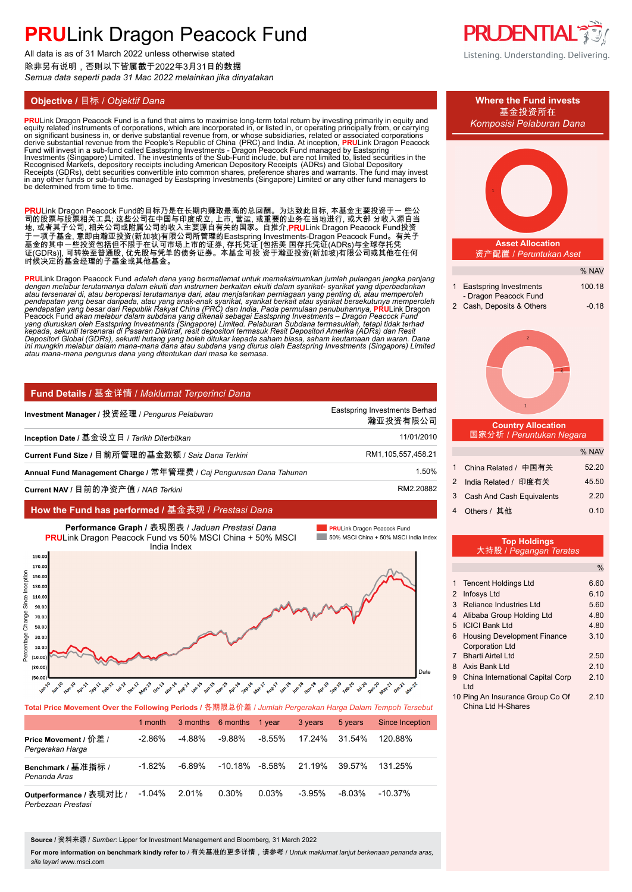All data is as of 31 March 2022 unless otherwise stated 除非另有说明,否则以下皆属截于2022年3月31日的数据 *Semua data seperti pada 31 Mac 2022 melainkan jika dinyatakan*

**PRU**Link Dragon Peacock Fund is a fund that aims to maximise long-term total return by investing primarily in equity and<br>equity related instruments of corporations, which are incorporated in, or listed in, or operating pr on significant business in, or derive substantial revenue from, or whose subsidiaries, related or associated corporations<br>derive substantial revenue from the People's Republic of China (PRC) and India. At inception, **PRU**L Recognised Markets, depository receipts including American Depository Receipts (ADRs) and Global Depository<br>Receipts (GDRs), debt securities convertible into common shares, preference shares and warrants. The fund may inve be determined from time to time.

**PRU**Link Dragon Peacock Fund的目标乃是在长期内赚取最高的总回酬。为达致此目标, 本基金主要投资于一 些公 司的股票与股票相关工具; 这些公司在中国与印度成立, 上市, 营运, 或重要的业务在当地进行, 或大部 分收入源自当 地, 或者其子公司, 相关公司或附属公司的收入主要源自有关的国家。自推介,**PRU**Link Dragon Peacock Fund投资 于一项子基金, 意即由瀚亚投资(新加坡)有限公司所管理的Eastspring Investments-Dragon Peacock Fund。有关子 基金的其中一些投资包括但不限于在认可市场上市的证券, 存托凭证 [包括美 国存托凭证(ADRs)与全球存托凭 证(GDRs)], 可转换至普通股, 优先股与凭单的债务证券。本基金可投 资于瀚亚投资(新加坡)有限公司或其他在任何 时候决定的基金经理的子基金或其他基金。

**PRU**Link Dragon Peacock Fund *adalah dana yang bermatlamat untuk memaksimumkan jumlah pulangan jangka panjang*  dengan melabur terutamanya dalam ekuiti dan instrumen berkaitan ekuiti dalam syarikat- syarikat yang diperbadankan<br>atau tersenarai di, atau beroperasi terutamanya dari, atau menjalankan perniagaan yang penting di, atau mem pendapatan yang besar daripada, atau yang anak-anak syarikat, syarikat berkait atau syarikat bersekutunya memperoleh<br>pendapatan yang besar dari Republik Rakyat China (PRC) dan India. Pada permulaan penubuhannya, PRULink Dr

## **Fund Details /** 基金详情 / *Maklumat Terperinci Dana*

| Investment Manager / 投资经理 / Pengurus Pelaburan                      | 瀚亚投资有限公司           |
|---------------------------------------------------------------------|--------------------|
| Inception Date / 基金设立日 / Tarikh Diterbitkan                         | 11/01/2010         |
| Current Fund Size / 目前所管理的基金数额 / Saiz Dana Terkini                  | RM1,105,557,458.21 |
| Annual Fund Management Charge / 常年管理费 / Caj Pengurusan Dana Tahunan | 1.50%              |
| Current NAV / 目前的净资产值 / NAB Terkini                                 | RM2.20882          |

## **How the Fund has performed /** 基金表现 / *Prestasi Dana*



| <b>TULGET HUS MUVSHISHL OVSE LIIS FUHUWIHY F SHUUS</b> / E AFIXAS VI 4 / JUMINGH F SIYOTANGH HATYA DATAHI TUHINUH TOTSODU |           |        |                   |           |               |         |                        |
|---------------------------------------------------------------------------------------------------------------------------|-----------|--------|-------------------|-----------|---------------|---------|------------------------|
|                                                                                                                           | 1 month   |        | 3 months 6 months | 1 vear    | 3 years       | 5 years | <b>Since Inception</b> |
| Price Movement / 价差 /<br>Pergerakan Harga                                                                                 | $-2.86\%$ | -4.88% | -9.88%            | $-8.55\%$ | 17.24%        | 31.54%  | 120.88%                |
| Benchmark / 基准指标 /<br>Penanda Aras                                                                                        | $-1.82%$  | -6.89% | -10.18% -8.58%    |           | 21.19% 39.57% |         | 131.25%                |
| Outperformance / 表现对比 /<br>Perhezaan Prestasi                                                                             | $-1.04\%$ | 2.01%  | 0.30%             | 0.03%     | -3.95%        | -8.03%  | $-10.37\%$             |

**Source /** 资料来源 / *Sumber*: Lipper for Investment Management and Bloomberg, 31 March 2022

**For more information on benchmark kindly refer to** / 有关基准的更多详情,请参考 / *Untuk maklumat lanjut berkenaan penanda aras, sila layari* www.msci.com



Listening. Understanding. Delivering.



10 Ping An Insurance Group Co Of 2.10 China Ltd H-Shares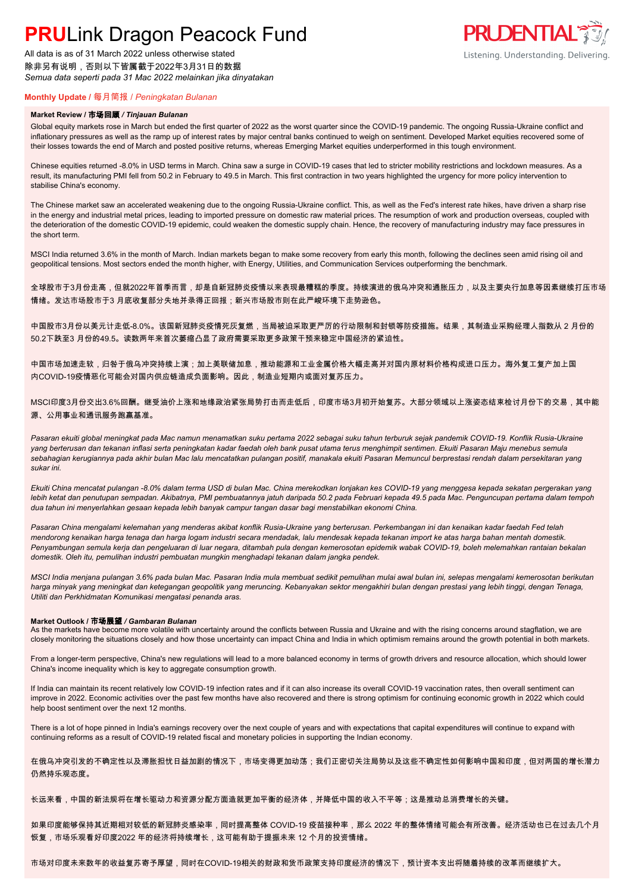All data is as of 31 March 2022 unless otherwise stated 除非另有说明,否则以下皆属截于2022年3月31日的数据 *Semua data seperti pada 31 Mac 2022 melainkan jika dinyatakan*



### **Monthly Update /** 每月简报 / *Peningkatan Bulanan*

#### **Market Review /** 市场回顾 */ Tinjauan Bulanan*

Global equity markets rose in March but ended the first quarter of 2022 as the worst quarter since the COVID-19 pandemic. The ongoing Russia-Ukraine conflict and inflationary pressures as well as the ramp up of interest rates by major central banks continued to weigh on sentiment. Developed Market equities recovered some of their losses towards the end of March and posted positive returns, whereas Emerging Market equities underperformed in this tough environment.

Chinese equities returned -8.0% in USD terms in March. China saw a surge in COVID-19 cases that led to stricter mobility restrictions and lockdown measures. As a result, its manufacturing PMI fell from 50.2 in February to 49.5 in March. This first contraction in two years highlighted the urgency for more policy intervention to stabilise China's economy.

The Chinese market saw an accelerated weakening due to the ongoing Russia-Ukraine conflict. This, as well as the Fed's interest rate hikes, have driven a sharp rise in the energy and industrial metal prices, leading to imported pressure on domestic raw material prices. The resumption of work and production overseas, coupled with the deterioration of the domestic COVID-19 epidemic, could weaken the domestic supply chain. Hence, the recovery of manufacturing industry may face pressures in the short term.

MSCI India returned 3.6% in the month of March. Indian markets began to make some recovery from early this month, following the declines seen amid rising oil and geopolitical tensions. Most sectors ended the month higher, with Energy, Utilities, and Communication Services outperforming the benchmark.

全球股市于3月份走高,但就2022年首季而言,却是自新冠肺炎疫情以来表现最糟糕的季度。持续演进的俄乌冲突和通胀压力,以及主要央行加息等因素继续打压市场 情绪。发达市场股市于3 月底收复部分失地并录得正回报;新兴市场股市则在此严峻环境下走势逊色。

中国股市3月份以美元计走低-8.0%。该国新冠肺炎疫情死灰复燃,当局被迫采取更严厉的行动限制和封锁等防疫措施。结果,其制造业采购经理人指数从 2 月份的 50.2下跌至3 月份的49.5。读数两年来首次萎缩凸显了政府需要采取更多政策干预来稳定中国经济的紧迫性。

中国市场加速走软,归咎于俄乌冲突持续上演;加上美联储加息,推动能源和工业金属价格大幅走高并对国内原材料价格构成进口压力。海外复工复产加上国 内COVID-19疫情恶化可能会对国内供应链造成负面影响。因此,制造业短期内或面对复苏压力。

MSCI印度3月份交出3.6%回酬。继受油价上涨和地缘政治紧张局势打击而走低后,印度市场3月初开始复苏。大部分领域以上涨姿态结束检讨月份下的交易,其中能 源、公用事业和通讯服务跑赢基准。

*Pasaran ekuiti global meningkat pada Mac namun menamatkan suku pertama 2022 sebagai suku tahun terburuk sejak pandemik COVID-19. Konflik Rusia-Ukraine yang berterusan dan tekanan inflasi serta peningkatan kadar faedah oleh bank pusat utama terus menghimpit sentimen. Ekuiti Pasaran Maju menebus semula sebahagian kerugiannya pada akhir bulan Mac lalu mencatatkan pulangan positif, manakala ekuiti Pasaran Memuncul berprestasi rendah dalam persekitaran yang sukar ini.*

*Ekuiti China mencatat pulangan -8.0% dalam terma USD di bulan Mac. China merekodkan lonjakan kes COVID-19 yang menggesa kepada sekatan pergerakan yang lebih ketat dan penutupan sempadan. Akibatnya, PMI pembuatannya jatuh daripada 50.2 pada Februari kepada 49.5 pada Mac. Penguncupan pertama dalam tempoh dua tahun ini menyerlahkan gesaan kepada lebih banyak campur tangan dasar bagi menstabilkan ekonomi China.*

*Pasaran China mengalami kelemahan yang menderas akibat konflik Rusia-Ukraine yang berterusan. Perkembangan ini dan kenaikan kadar faedah Fed telah mendorong kenaikan harga tenaga dan harga logam industri secara mendadak, lalu mendesak kepada tekanan import ke atas harga bahan mentah domestik. Penyambungan semula kerja dan pengeluaran di luar negara, ditambah pula dengan kemerosotan epidemik wabak COVID-19, boleh melemahkan rantaian bekalan domestik. Oleh itu, pemulihan industri pembuatan mungkin menghadapi tekanan dalam jangka pendek.*

*MSCI India menjana pulangan 3.6% pada bulan Mac. Pasaran India mula membuat sedikit pemulihan mulai awal bulan ini, selepas mengalami kemerosotan berikutan harga minyak yang meningkat dan ketegangan geopolitik yang meruncing. Kebanyakan sektor mengakhiri bulan dengan prestasi yang lebih tinggi, dengan Tenaga, Utiliti dan Perkhidmatan Komunikasi mengatasi penanda aras.*

#### **Market Outlook /** 市场展望 */ Gambaran Bulanan*

As the markets have become more volatile with uncertainty around the conflicts between Russia and Ukraine and with the rising concerns around stagflation, we are closely monitoring the situations closely and how those uncertainty can impact China and India in which optimism remains around the growth potential in both markets.

From a longer-term perspective, China's new regulations will lead to a more balanced economy in terms of growth drivers and resource allocation, which should lower China's income inequality which is key to aggregate consumption growth.

If India can maintain its recent relatively low COVID-19 infection rates and if it can also increase its overall COVID-19 vaccination rates, then overall sentiment can improve in 2022. Economic activities over the past few months have also recovered and there is strong optimism for continuing economic growth in 2022 which could help boost sentiment over the next 12 months.

There is a lot of hope pinned in India's earnings recovery over the next couple of years and with expectations that capital expenditures will continue to expand with continuing reforms as a result of COVID-19 related fiscal and monetary policies in supporting the Indian economy.

在俄乌冲突引发的不确定性以及滞胀担忧日益加剧的情况下,市场变得更加动荡;我们正密切关注局势以及这些不确定性如何影响中国和印度,但对两国的增长潜力 仍然持乐观态度。

长远来看,中国的新法规将在增长驱动力和资源分配方面造就更加平衡的经济体,并降低中国的收入不平等;这是推动总消费增长的关键。

如果印度能够保持其近期相对较低的新冠肺炎感染率,同时提高整体 COVID-19 疫苗接种率,那么 2022 年的整体情绪可能会有所改善。经济活动也已在过去几个月 恢复,市场乐观看好印度2022 年的经济将持续增长,这可能有助于提振未来 12 个月的投资情绪。

市场对印度未来数年的收益复苏寄予厚望,同时在COVID-19相关的财政和货币政策支持印度经济的情况下,预计资本支出将随着持续的改革而继续扩大。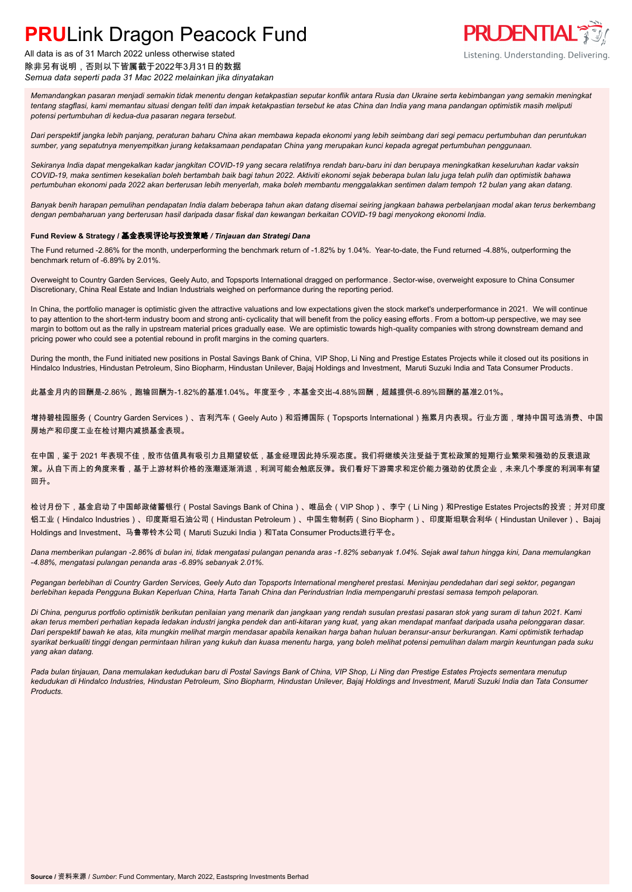

## All data is as of 31 March 2022 unless otherwise stated 除非另有说明,否则以下皆属截于2022年3月31日的数据 *Semua data seperti pada 31 Mac 2022 melainkan jika dinyatakan*

*Memandangkan pasaran menjadi semakin tidak menentu dengan ketakpastian seputar konflik antara Rusia dan Ukraine serta kebimbangan yang semakin meningkat tentang stagflasi, kami memantau situasi dengan teliti dan impak ketakpastian tersebut ke atas China dan India yang mana pandangan optimistik masih meliputi potensi pertumbuhan di kedua-dua pasaran negara tersebut.*

*Dari perspektif jangka lebih panjang, peraturan baharu China akan membawa kepada ekonomi yang lebih seimbang dari segi pemacu pertumbuhan dan peruntukan sumber, yang sepatutnya menyempitkan jurang ketaksamaan pendapatan China yang merupakan kunci kepada agregat pertumbuhan penggunaan.*

*Sekiranya India dapat mengekalkan kadar jangkitan COVID-19 yang secara relatifnya rendah baru-baru ini dan berupaya meningkatkan keseluruhan kadar vaksin COVID-19, maka sentimen kesekalian boleh bertambah baik bagi tahun 2022. Aktiviti ekonomi sejak beberapa bulan lalu juga telah pulih dan optimistik bahawa pertumbuhan ekonomi pada 2022 akan berterusan lebih menyerlah, maka boleh membantu menggalakkan sentimen dalam tempoh 12 bulan yang akan datang.*

*Banyak benih harapan pemulihan pendapatan India dalam beberapa tahun akan datang disemai seiring jangkaan bahawa perbelanjaan modal akan terus berkembang dengan pembaharuan yang berterusan hasil daripada dasar fiskal dan kewangan berkaitan COVID-19 bagi menyokong ekonomi India.*

### **Fund Review & Strategy /** 基金表现评论与投资策略 */ Tinjauan dan Strategi Dana*

The Fund returned -2.86% for the month, underperforming the benchmark return of -1.82% by 1.04%. Year-to-date, the Fund returned -4.88%, outperforming the benchmark return of -6.89% by 2.01%.

Overweight to Country Garden Services, Geely Auto, and Topsports International dragged on performance. Sector-wise, overweight exposure to China Consumer Discretionary, China Real Estate and Indian Industrials weighed on performance during the reporting period.

In China, the portfolio manager is optimistic given the attractive valuations and low expectations given the stock market's underperformance in 2021. We will continue to pay attention to the short-term industry boom and strong anti- cyclicality that will benefit from the policy easing efforts . From a bottom-up perspective, we may see margin to bottom out as the rally in upstream material prices gradually ease. We are optimistic towards high-quality companies with strong downstream demand and pricing power who could see a potential rebound in profit margins in the coming quarters.

During the month, the Fund initiated new positions in Postal Savings Bank of China, VIP Shop, Li Ning and Prestige Estates Projects while it closed out its positions in Hindalco Industries, Hindustan Petroleum, Sino Biopharm, Hindustan Unilever, Bajaj Holdings and Investment, Maruti Suzuki India and Tata Consumer Products.

此基金月内的回酬是-2.86%,跑输回酬为-1.82%的基准1.04%。年度至今,本基金交出-4.88%回酬,超越提供-6.89%回酬的基准2.01%。

增持碧桂园服务(Country Garden Services)、吉利汽车(Geely Auto)和滔搏国际(Topsports International)拖累月内表现。行业方面,增持中国可选消费、中国 房地产和印度工业在检讨期内减损基金表现。

在中国,鉴于 2021 年表现不佳,股市估值具有吸引力且期望较低,基金经理因此持乐观态度。我们将继续关注受益于宽松政策的短期行业繁荣和强劲的反衰退政 策。从自下而上的角度来看,基于上游材料价格的涨潮逐渐消退,利润可能会触底反弹。我们看好下游需求和定价能力强劲的优质企业,未来几个季度的利润率有望 回升。

检讨月份下,基金启动了中国邮政储蓄银行(Postal Savings Bank of China)、唯品会(VIP Shop)、李宁(Li Ning)和Prestige Estates Projects的投资;并对印度 铝工业(Hindalco Industries)、印度斯坦石油公司(Hindustan Petroleum)、中国生物制药(Sino Biopharm)、印度斯坦联合利华(Hindustan Unilever)、Bajaj Holdings and Investment、马鲁蒂铃木公司(Maruti Suzuki India)和Tata Consumer Products进行平仓。

*Dana memberikan pulangan -2.86% di bulan ini, tidak mengatasi pulangan penanda aras -1.82% sebanyak 1.04%. Sejak awal tahun hingga kini, Dana memulangkan -4.88%, mengatasi pulangan penanda aras -6.89% sebanyak 2.01%.*

Pegangan berlebihan di Country Garden Services, Geely Auto dan Topsports International mengheret prestasi. Meninjau pendedahan dari segi sektor, pegangan *berlebihan kepada Pengguna Bukan Keperluan China, Harta Tanah China dan Perindustrian India mempengaruhi prestasi semasa tempoh pelaporan.*

*Di China, pengurus portfolio optimistik berikutan penilaian yang menarik dan jangkaan yang rendah susulan prestasi pasaran stok yang suram di tahun 2021. Kami akan terus memberi perhatian kepada ledakan industri jangka pendek dan anti-kitaran yang kuat, yang akan mendapat manfaat daripada usaha pelonggaran dasar. Dari perspektif bawah ke atas, kita mungkin melihat margin mendasar apabila kenaikan harga bahan huluan beransur-ansur berkurangan. Kami optimistik terhadap syarikat berkualiti tinggi dengan permintaan hiliran yang kukuh dan kuasa menentu harga, yang boleh melihat potensi pemulihan dalam margin keuntungan pada suku yang akan datang.*

*Pada bulan tinjauan, Dana memulakan kedudukan baru di Postal Savings Bank of China, VIP Shop, Li Ning dan Prestige Estates Projects sementara menutup kedudukan di Hindalco Industries, Hindustan Petroleum, Sino Biopharm, Hindustan Unilever, Bajaj Holdings and Investment, Maruti Suzuki India dan Tata Consumer Products.*